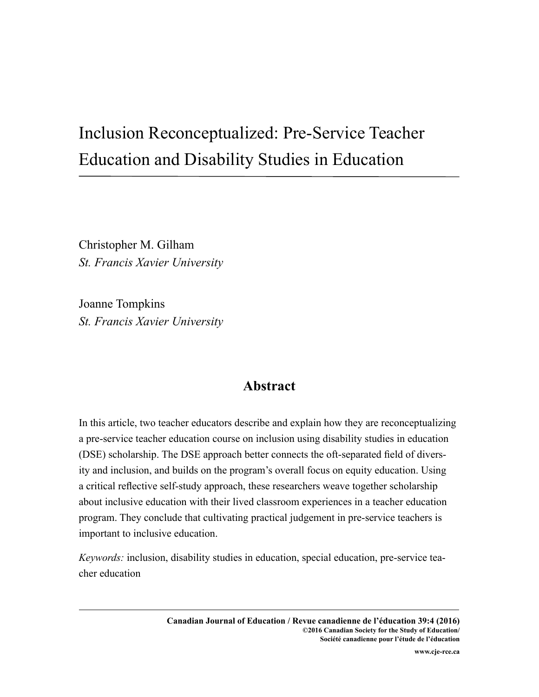# Inclusion Reconceptualized: Pre-Service Teacher Education and Disability Studies in Education

Christopher M. Gilham *St. Francis Xavier University*

Joanne Tompkins *St. Francis Xavier University*

# **Abstract**

In this article, two teacher educators describe and explain how they are reconceptualizing a pre-service teacher education course on inclusion using disability studies in education (DSE) scholarship. The DSE approach better connects the oft-separated field of diversity and inclusion, and builds on the program's overall focus on equity education. Using a critical reflective self-study approach, these researchers weave together scholarship about inclusive education with their lived classroom experiences in a teacher education program. They conclude that cultivating practical judgement in pre-service teachers is important to inclusive education.

*Keywords:* inclusion, disability studies in education, special education, pre-service teacher education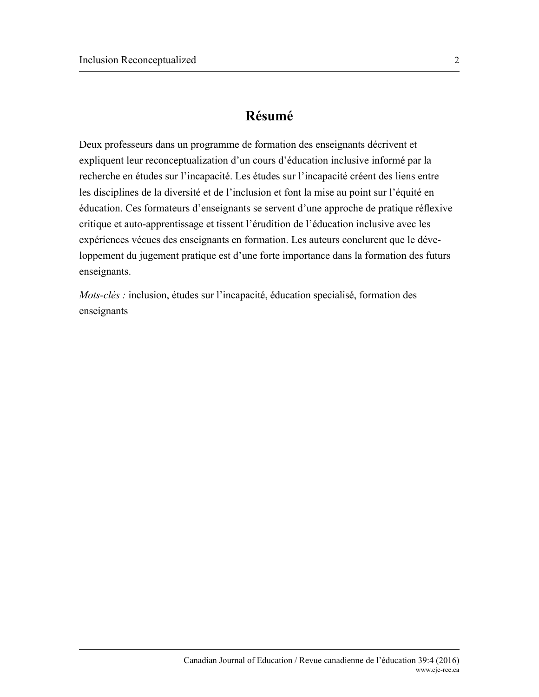# **Résumé**

Deux professeurs dans un programme de formation des enseignants décrivent et expliquent leur reconceptualization d'un cours d'éducation inclusive informé par la recherche en études sur l'incapacité. Les études sur l'incapacité créent des liens entre les disciplines de la diversité et de l'inclusion et font la mise au point sur l'équité en éducation. Ces formateurs d'enseignants se servent d'une approche de pratique réflexive critique et auto-apprentissage et tissent l'érudition de l'éducation inclusive avec les expériences vécues des enseignants en formation. Les auteurs conclurent que le développement du jugement pratique est d'une forte importance dans la formation des futurs enseignants.

*Mots-clés :* inclusion, études sur l'incapacité, éducation specialisé, formation des enseignants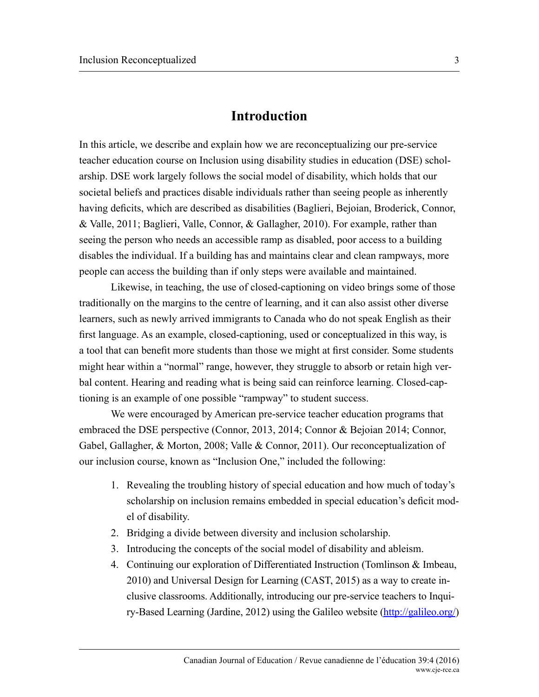# **Introduction**

In this article, we describe and explain how we are reconceptualizing our pre-service teacher education course on Inclusion using disability studies in education (DSE) scholarship. DSE work largely follows the social model of disability, which holds that our societal beliefs and practices disable individuals rather than seeing people as inherently having deficits, which are described as disabilities (Baglieri, Bejoian, Broderick, Connor, & Valle, 2011; Baglieri, Valle, Connor, & Gallagher, 2010). For example, rather than seeing the person who needs an accessible ramp as disabled, poor access to a building disables the individual. If a building has and maintains clear and clean rampways, more people can access the building than if only steps were available and maintained.

Likewise, in teaching, the use of closed-captioning on video brings some of those traditionally on the margins to the centre of learning, and it can also assist other diverse learners, such as newly arrived immigrants to Canada who do not speak English as their first language. As an example, closed-captioning, used or conceptualized in this way, is a tool that can benefit more students than those we might at first consider. Some students might hear within a "normal" range, however, they struggle to absorb or retain high verbal content. Hearing and reading what is being said can reinforce learning. Closed-captioning is an example of one possible "rampway" to student success.

We were encouraged by American pre-service teacher education programs that embraced the DSE perspective (Connor, 2013, 2014; Connor & Bejoian 2014; Connor, Gabel, Gallagher, & Morton, 2008; Valle & Connor, 2011). Our reconceptualization of our inclusion course, known as "Inclusion One," included the following:

- 1. Revealing the troubling history of special education and how much of today's scholarship on inclusion remains embedded in special education's deficit model of disability.
- 2. Bridging a divide between diversity and inclusion scholarship.
- 3. Introducing the concepts of the social model of disability and ableism.
- 4. Continuing our exploration of Differentiated Instruction (Tomlinson & Imbeau, 2010) and Universal Design for Learning (CAST, 2015) as a way to create inclusive classrooms. Additionally, introducing our pre-service teachers to Inquiry-Based Learning (Jardine, 2012) using the Galileo website ([http://galileo.org/\)](http://galileo.org/)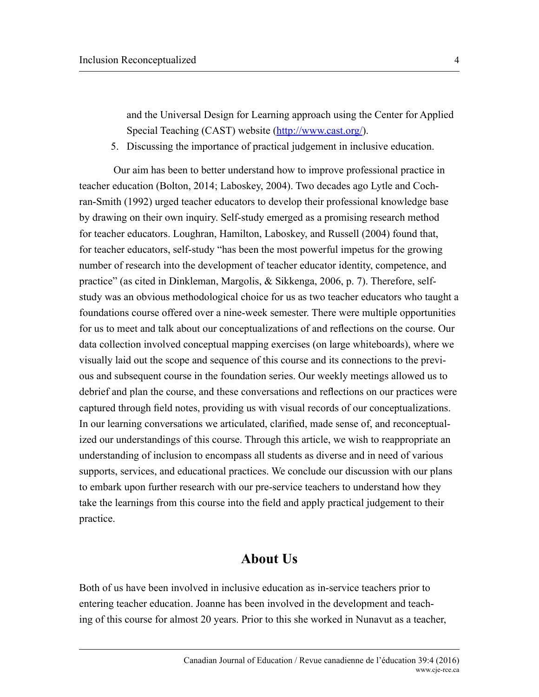and the Universal Design for Learning approach using the Center for Applied Special Teaching (CAST) website ([http://www.cast.org/\)](http://www.cast.org/).

5. Discussing the importance of practical judgement in inclusive education.

 Our aim has been to better understand how to improve professional practice in teacher education (Bolton, 2014; Laboskey, 2004). Two decades ago Lytle and Cochran-Smith (1992) urged teacher educators to develop their professional knowledge base by drawing on their own inquiry. Self-study emerged as a promising research method for teacher educators. Loughran, Hamilton, Laboskey, and Russell (2004) found that, for teacher educators, self-study "has been the most powerful impetus for the growing number of research into the development of teacher educator identity, competence, and practice" (as cited in Dinkleman, Margolis, & Sikkenga, 2006, p. 7). Therefore, selfstudy was an obvious methodological choice for us as two teacher educators who taught a foundations course offered over a nine-week semester. There were multiple opportunities for us to meet and talk about our conceptualizations of and reflections on the course. Our data collection involved conceptual mapping exercises (on large whiteboards), where we visually laid out the scope and sequence of this course and its connections to the previous and subsequent course in the foundation series. Our weekly meetings allowed us to debrief and plan the course, and these conversations and reflections on our practices were captured through field notes, providing us with visual records of our conceptualizations. In our learning conversations we articulated, clarified, made sense of, and reconceptualized our understandings of this course. Through this article, we wish to reappropriate an understanding of inclusion to encompass all students as diverse and in need of various supports, services, and educational practices. We conclude our discussion with our plans to embark upon further research with our pre-service teachers to understand how they take the learnings from this course into the field and apply practical judgement to their practice.

## **About Us**

Both of us have been involved in inclusive education as in-service teachers prior to entering teacher education. Joanne has been involved in the development and teaching of this course for almost 20 years. Prior to this she worked in Nunavut as a teacher,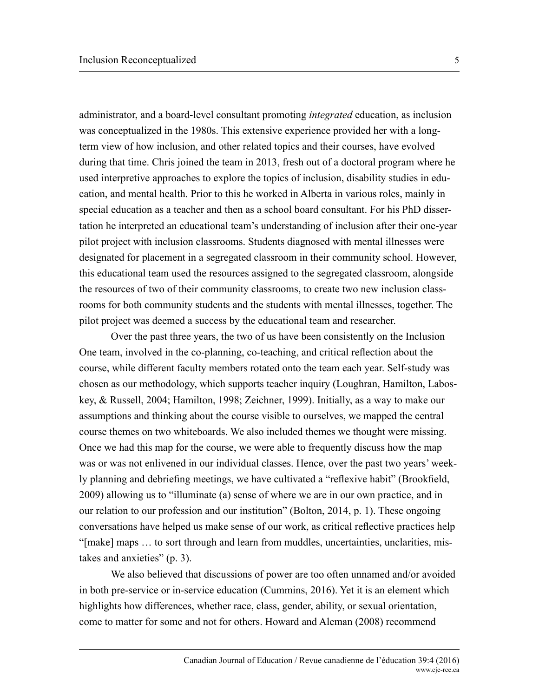administrator, and a board-level consultant promoting *integrated* education, as inclusion was conceptualized in the 1980s. This extensive experience provided her with a longterm view of how inclusion, and other related topics and their courses, have evolved during that time. Chris joined the team in 2013, fresh out of a doctoral program where he used interpretive approaches to explore the topics of inclusion, disability studies in education, and mental health. Prior to this he worked in Alberta in various roles, mainly in special education as a teacher and then as a school board consultant. For his PhD dissertation he interpreted an educational team's understanding of inclusion after their one-year pilot project with inclusion classrooms. Students diagnosed with mental illnesses were designated for placement in a segregated classroom in their community school. However, this educational team used the resources assigned to the segregated classroom, alongside the resources of two of their community classrooms, to create two new inclusion classrooms for both community students and the students with mental illnesses, together. The pilot project was deemed a success by the educational team and researcher.

Over the past three years, the two of us have been consistently on the Inclusion One team, involved in the co-planning, co-teaching, and critical reflection about the course, while different faculty members rotated onto the team each year. Self-study was chosen as our methodology, which supports teacher inquiry (Loughran, Hamilton, Laboskey, & Russell, 2004; Hamilton, 1998; Zeichner, 1999). Initially, as a way to make our assumptions and thinking about the course visible to ourselves, we mapped the central course themes on two whiteboards. We also included themes we thought were missing. Once we had this map for the course, we were able to frequently discuss how the map was or was not enlivened in our individual classes. Hence, over the past two years' weekly planning and debriefing meetings, we have cultivated a "reflexive habit" (Brookfield, 2009) allowing us to "illuminate (a) sense of where we are in our own practice, and in our relation to our profession and our institution" (Bolton, 2014, p. 1). These ongoing conversations have helped us make sense of our work, as critical reflective practices help "[make] maps … to sort through and learn from muddles, uncertainties, unclarities, mistakes and anxieties" (p. 3).

We also believed that discussions of power are too often unnamed and/or avoided in both pre-service or in-service education (Cummins, 2016). Yet it is an element which highlights how differences, whether race, class, gender, ability, or sexual orientation, come to matter for some and not for others. Howard and Aleman (2008) recommend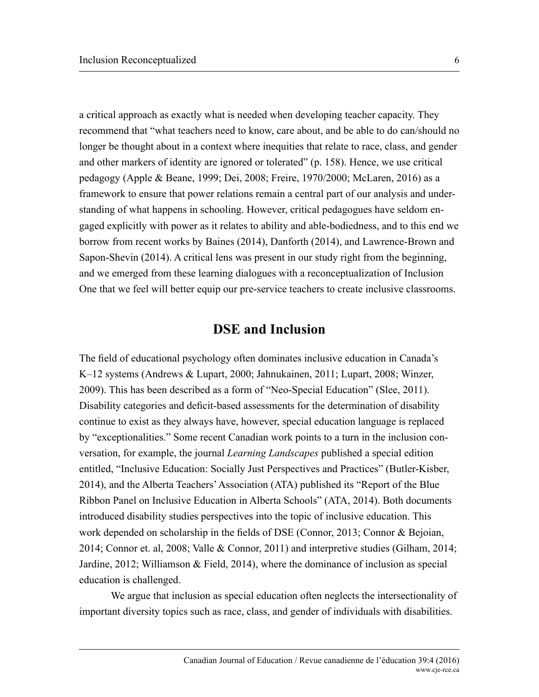a critical approach as exactly what is needed when developing teacher capacity. They recommend that "what teachers need to know, care about, and be able to do can/should no longer be thought about in a context where inequities that relate to race, class, and gender and other markers of identity are ignored or tolerated" (p. 158). Hence, we use critical pedagogy (Apple & Beane, 1999; Dei, 2008; Freire, 1970/2000; McLaren, 2016) as a framework to ensure that power relations remain a central part of our analysis and understanding of what happens in schooling. However, critical pedagogues have seldom engaged explicitly with power as it relates to ability and able-bodiedness, and to this end we borrow from recent works by Baines (2014), Danforth (2014), and Lawrence-Brown and Sapon-Shevin (2014). A critical lens was present in our study right from the beginning, and we emerged from these learning dialogues with a reconceptualization of Inclusion One that we feel will better equip our pre-service teachers to create inclusive classrooms.

### **DSE and Inclusion**

The field of educational psychology often dominates inclusive education in Canada's K–12 systems (Andrews & Lupart, 2000; Jahnukainen, 2011; Lupart, 2008; Winzer, 2009). This has been described as a form of "Neo-Special Education" (Slee, 2011). Disability categories and deficit-based assessments for the determination of disability continue to exist as they always have, however, special education language is replaced by "exceptionalities." Some recent Canadian work points to a turn in the inclusion conversation, for example, the journal *Learning Landscapes* published a special edition entitled, "Inclusive Education: Socially Just Perspectives and Practices" (Butler-Kisber, 2014), and the Alberta Teachers' Association (ATA) published its "Report of the Blue Ribbon Panel on Inclusive Education in Alberta Schools" (ATA, 2014). Both documents introduced disability studies perspectives into the topic of inclusive education. This work depended on scholarship in the fields of DSE (Connor, 2013; Connor & Bejoian, 2014; Connor et. al, 2008; Valle & Connor, 2011) and interpretive studies (Gilham, 2014; Jardine, 2012; Williamson & Field, 2014), where the dominance of inclusion as special education is challenged.

We argue that inclusion as special education often neglects the intersectionality of important diversity topics such as race, class, and gender of individuals with disabilities.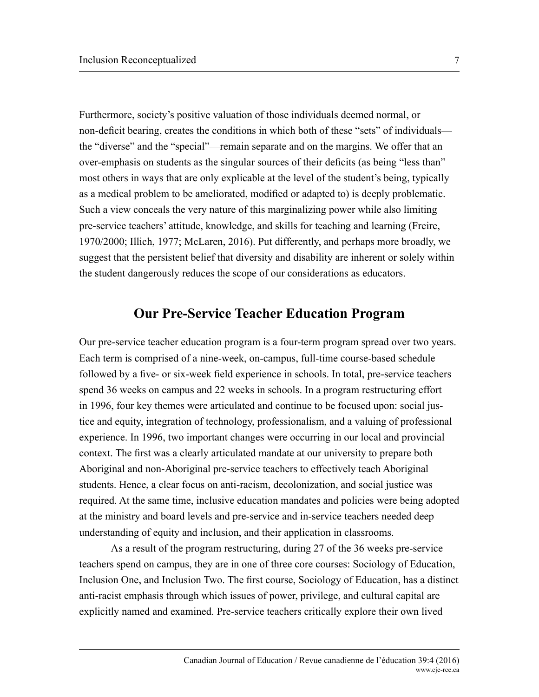Furthermore, society's positive valuation of those individuals deemed normal, or non-deficit bearing, creates the conditions in which both of these "sets" of individuals the "diverse" and the "special"—remain separate and on the margins. We offer that an over-emphasis on students as the singular sources of their deficits (as being "less than" most others in ways that are only explicable at the level of the student's being, typically as a medical problem to be ameliorated, modified or adapted to) is deeply problematic. Such a view conceals the very nature of this marginalizing power while also limiting pre-service teachers' attitude, knowledge, and skills for teaching and learning (Freire, 1970/2000; Illich, 1977; McLaren, 2016). Put differently, and perhaps more broadly, we suggest that the persistent belief that diversity and disability are inherent or solely within the student dangerously reduces the scope of our considerations as educators.

#### **Our Pre-Service Teacher Education Program**

Our pre-service teacher education program is a four-term program spread over two years. Each term is comprised of a nine-week, on-campus, full-time course-based schedule followed by a five- or six-week field experience in schools. In total, pre-service teachers spend 36 weeks on campus and 22 weeks in schools. In a program restructuring effort in 1996, four key themes were articulated and continue to be focused upon: social justice and equity, integration of technology, professionalism, and a valuing of professional experience. In 1996, two important changes were occurring in our local and provincial context. The first was a clearly articulated mandate at our university to prepare both Aboriginal and non-Aboriginal pre-service teachers to effectively teach Aboriginal students. Hence, a clear focus on anti-racism, decolonization, and social justice was required. At the same time, inclusive education mandates and policies were being adopted at the ministry and board levels and pre-service and in-service teachers needed deep understanding of equity and inclusion, and their application in classrooms.

As a result of the program restructuring, during 27 of the 36 weeks pre-service teachers spend on campus, they are in one of three core courses: Sociology of Education, Inclusion One, and Inclusion Two. The first course, Sociology of Education, has a distinct anti-racist emphasis through which issues of power, privilege, and cultural capital are explicitly named and examined. Pre-service teachers critically explore their own lived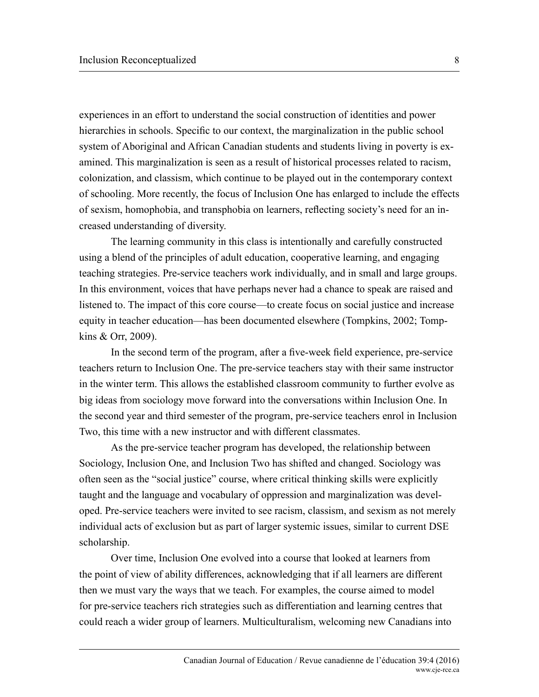experiences in an effort to understand the social construction of identities and power hierarchies in schools. Specific to our context, the marginalization in the public school system of Aboriginal and African Canadian students and students living in poverty is examined. This marginalization is seen as a result of historical processes related to racism, colonization, and classism, which continue to be played out in the contemporary context of schooling. More recently, the focus of Inclusion One has enlarged to include the effects of sexism, homophobia, and transphobia on learners, reflecting society's need for an increased understanding of diversity.

The learning community in this class is intentionally and carefully constructed using a blend of the principles of adult education, cooperative learning, and engaging teaching strategies. Pre-service teachers work individually, and in small and large groups. In this environment, voices that have perhaps never had a chance to speak are raised and listened to. The impact of this core course—to create focus on social justice and increase equity in teacher education—has been documented elsewhere (Tompkins, 2002; Tompkins & Orr, 2009).

In the second term of the program, after a five-week field experience, pre-service teachers return to Inclusion One. The pre-service teachers stay with their same instructor in the winter term. This allows the established classroom community to further evolve as big ideas from sociology move forward into the conversations within Inclusion One. In the second year and third semester of the program, pre-service teachers enrol in Inclusion Two, this time with a new instructor and with different classmates.

As the pre-service teacher program has developed, the relationship between Sociology, Inclusion One, and Inclusion Two has shifted and changed. Sociology was often seen as the "social justice" course, where critical thinking skills were explicitly taught and the language and vocabulary of oppression and marginalization was developed. Pre-service teachers were invited to see racism, classism, and sexism as not merely individual acts of exclusion but as part of larger systemic issues, similar to current DSE scholarship.

Over time, Inclusion One evolved into a course that looked at learners from the point of view of ability differences, acknowledging that if all learners are different then we must vary the ways that we teach. For examples, the course aimed to model for pre-service teachers rich strategies such as differentiation and learning centres that could reach a wider group of learners. Multiculturalism, welcoming new Canadians into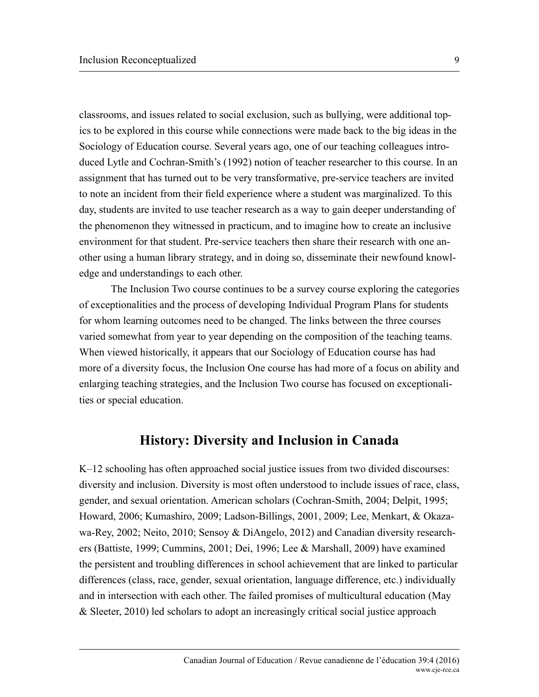classrooms, and issues related to social exclusion, such as bullying, were additional topics to be explored in this course while connections were made back to the big ideas in the Sociology of Education course. Several years ago, one of our teaching colleagues introduced Lytle and Cochran-Smith's (1992) notion of teacher researcher to this course. In an assignment that has turned out to be very transformative, pre-service teachers are invited to note an incident from their field experience where a student was marginalized. To this day, students are invited to use teacher research as a way to gain deeper understanding of the phenomenon they witnessed in practicum, and to imagine how to create an inclusive environment for that student. Pre-service teachers then share their research with one another using a human library strategy, and in doing so, disseminate their newfound knowledge and understandings to each other.

The Inclusion Two course continues to be a survey course exploring the categories of exceptionalities and the process of developing Individual Program Plans for students for whom learning outcomes need to be changed. The links between the three courses varied somewhat from year to year depending on the composition of the teaching teams. When viewed historically, it appears that our Sociology of Education course has had more of a diversity focus, the Inclusion One course has had more of a focus on ability and enlarging teaching strategies, and the Inclusion Two course has focused on exceptionalities or special education.

#### **History: Diversity and Inclusion in Canada**

K–12 schooling has often approached social justice issues from two divided discourses: diversity and inclusion. Diversity is most often understood to include issues of race, class, gender, and sexual orientation. American scholars (Cochran-Smith, 2004; Delpit, 1995; Howard, 2006; Kumashiro, 2009; Ladson-Billings, 2001, 2009; Lee, Menkart, & Okazawa-Rey, 2002; Neito, 2010; Sensoy & DiAngelo, 2012) and Canadian diversity researchers (Battiste, 1999; Cummins, 2001; Dei, 1996; Lee & Marshall, 2009) have examined the persistent and troubling differences in school achievement that are linked to particular differences (class, race, gender, sexual orientation, language difference, etc.) individually and in intersection with each other. The failed promises of multicultural education (May & Sleeter, 2010) led scholars to adopt an increasingly critical social justice approach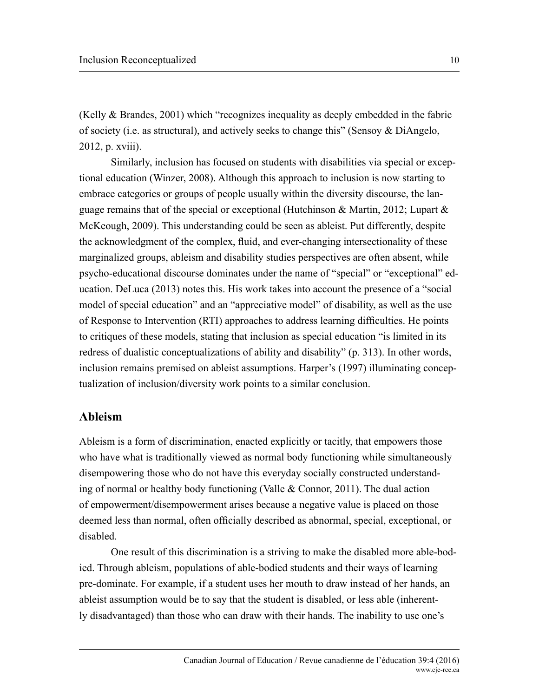(Kelly & Brandes, 2001) which "recognizes inequality as deeply embedded in the fabric of society (i.e. as structural), and actively seeks to change this" (Sensoy & DiAngelo, 2012, p. xviii).

Similarly, inclusion has focused on students with disabilities via special or exceptional education (Winzer, 2008). Although this approach to inclusion is now starting to embrace categories or groups of people usually within the diversity discourse, the language remains that of the special or exceptional (Hutchinson & Martin, 2012; Lupart  $\&$ McKeough, 2009). This understanding could be seen as ableist. Put differently, despite the acknowledgment of the complex, fluid, and ever-changing intersectionality of these marginalized groups, ableism and disability studies perspectives are often absent, while psycho-educational discourse dominates under the name of "special" or "exceptional" education. DeLuca (2013) notes this. His work takes into account the presence of a "social model of special education" and an "appreciative model" of disability, as well as the use of Response to Intervention (RTI) approaches to address learning difficulties. He points to critiques of these models, stating that inclusion as special education "is limited in its redress of dualistic conceptualizations of ability and disability" (p. 313). In other words, inclusion remains premised on ableist assumptions. Harper's (1997) illuminating conceptualization of inclusion/diversity work points to a similar conclusion.

#### **Ableism**

Ableism is a form of discrimination, enacted explicitly or tacitly, that empowers those who have what is traditionally viewed as normal body functioning while simultaneously disempowering those who do not have this everyday socially constructed understanding of normal or healthy body functioning (Valle & Connor, 2011). The dual action of empowerment/disempowerment arises because a negative value is placed on those deemed less than normal, often officially described as abnormal, special, exceptional, or disabled.

One result of this discrimination is a striving to make the disabled more able-bodied. Through ableism, populations of able-bodied students and their ways of learning pre-dominate. For example, if a student uses her mouth to draw instead of her hands, an ableist assumption would be to say that the student is disabled, or less able (inherently disadvantaged) than those who can draw with their hands. The inability to use one's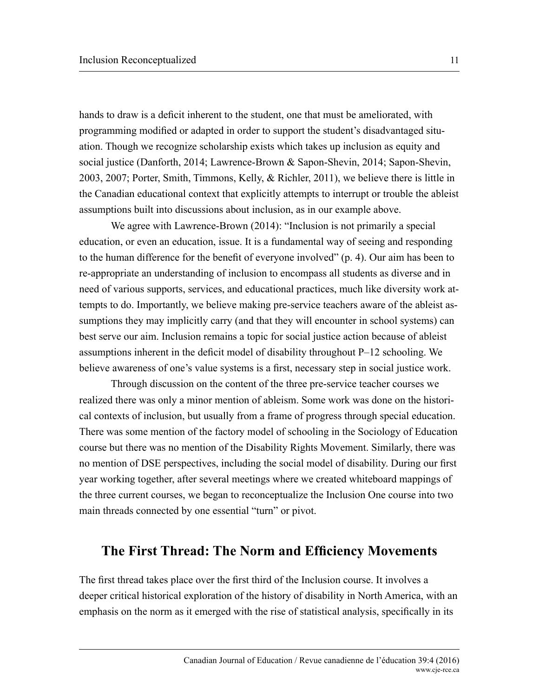hands to draw is a deficit inherent to the student, one that must be ameliorated, with programming modified or adapted in order to support the student's disadvantaged situation. Though we recognize scholarship exists which takes up inclusion as equity and social justice (Danforth, 2014; Lawrence-Brown & Sapon-Shevin, 2014; Sapon-Shevin, 2003, 2007; Porter, Smith, Timmons, Kelly, & Richler, 2011), we believe there is little in the Canadian educational context that explicitly attempts to interrupt or trouble the ableist assumptions built into discussions about inclusion, as in our example above.

We agree with Lawrence-Brown (2014): "Inclusion is not primarily a special education, or even an education, issue. It is a fundamental way of seeing and responding to the human difference for the benefit of everyone involved" (p. 4). Our aim has been to re-appropriate an understanding of inclusion to encompass all students as diverse and in need of various supports, services, and educational practices, much like diversity work attempts to do. Importantly, we believe making pre-service teachers aware of the ableist assumptions they may implicitly carry (and that they will encounter in school systems) can best serve our aim. Inclusion remains a topic for social justice action because of ableist assumptions inherent in the deficit model of disability throughout P–12 schooling. We believe awareness of one's value systems is a first, necessary step in social justice work.

Through discussion on the content of the three pre-service teacher courses we realized there was only a minor mention of ableism. Some work was done on the historical contexts of inclusion, but usually from a frame of progress through special education. There was some mention of the factory model of schooling in the Sociology of Education course but there was no mention of the Disability Rights Movement. Similarly, there was no mention of DSE perspectives, including the social model of disability. During our first year working together, after several meetings where we created whiteboard mappings of the three current courses, we began to reconceptualize the Inclusion One course into two main threads connected by one essential "turn" or pivot.

## **The First Thread: The Norm and Efficiency Movements**

The first thread takes place over the first third of the Inclusion course. It involves a deeper critical historical exploration of the history of disability in North America, with an emphasis on the norm as it emerged with the rise of statistical analysis, specifically in its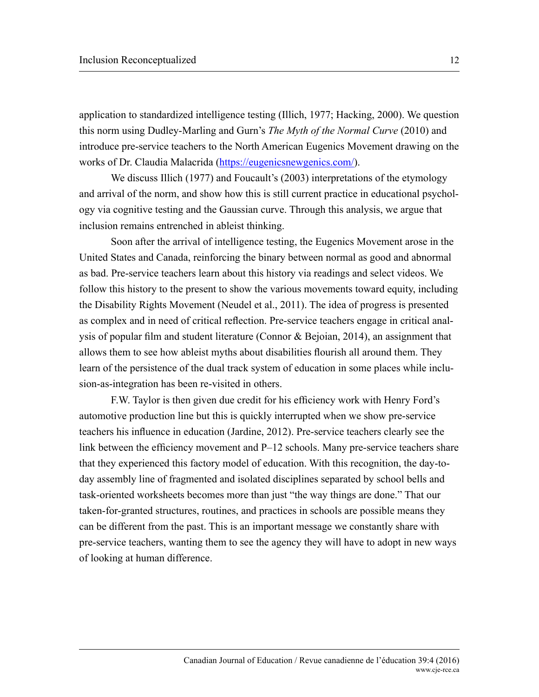application to standardized intelligence testing (Illich, 1977; Hacking, 2000). We question this norm using Dudley-Marling and Gurn's *The Myth of the Normal Curve* (2010) and introduce pre-service teachers to the North American Eugenics Movement drawing on the works of Dr. Claudia Malacrida [\(https://eugenicsnewgenics.com/](https://eugenicsnewgenics.com/)).

We discuss Illich (1977) and Foucault's (2003) interpretations of the etymology and arrival of the norm, and show how this is still current practice in educational psychology via cognitive testing and the Gaussian curve. Through this analysis, we argue that inclusion remains entrenched in ableist thinking.

Soon after the arrival of intelligence testing, the Eugenics Movement arose in the United States and Canada, reinforcing the binary between normal as good and abnormal as bad. Pre-service teachers learn about this history via readings and select videos. We follow this history to the present to show the various movements toward equity, including the Disability Rights Movement (Neudel et al., 2011). The idea of progress is presented as complex and in need of critical reflection. Pre-service teachers engage in critical analysis of popular film and student literature (Connor  $\&$  Bejoian, 2014), an assignment that allows them to see how ableist myths about disabilities flourish all around them. They learn of the persistence of the dual track system of education in some places while inclusion-as-integration has been re-visited in others.

F.W. Taylor is then given due credit for his efficiency work with Henry Ford's automotive production line but this is quickly interrupted when we show pre-service teachers his influence in education (Jardine, 2012). Pre-service teachers clearly see the link between the efficiency movement and P–12 schools. Many pre-service teachers share that they experienced this factory model of education. With this recognition, the day-today assembly line of fragmented and isolated disciplines separated by school bells and task-oriented worksheets becomes more than just "the way things are done." That our taken-for-granted structures, routines, and practices in schools are possible means they can be different from the past. This is an important message we constantly share with pre-service teachers, wanting them to see the agency they will have to adopt in new ways of looking at human difference.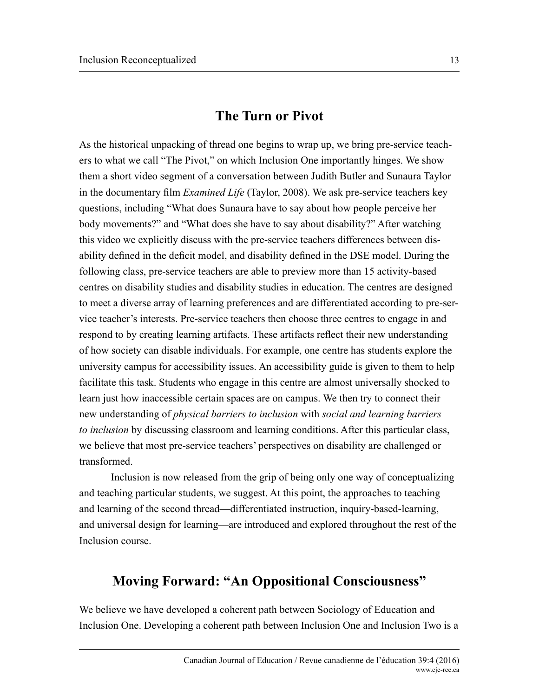## **The Turn or Pivot**

As the historical unpacking of thread one begins to wrap up, we bring pre-service teachers to what we call "The Pivot," on which Inclusion One importantly hinges. We show them a short video segment of a conversation between Judith Butler and Sunaura Taylor in the documentary film *Examined Life* (Taylor, 2008). We ask pre-service teachers key questions, including "What does Sunaura have to say about how people perceive her body movements?" and "What does she have to say about disability?" After watching this video we explicitly discuss with the pre-service teachers differences between disability defined in the deficit model, and disability defined in the DSE model. During the following class, pre-service teachers are able to preview more than 15 activity-based centres on disability studies and disability studies in education. The centres are designed to meet a diverse array of learning preferences and are differentiated according to pre-service teacher's interests. Pre-service teachers then choose three centres to engage in and respond to by creating learning artifacts. These artifacts reflect their new understanding of how society can disable individuals. For example, one centre has students explore the university campus for accessibility issues. An accessibility guide is given to them to help facilitate this task. Students who engage in this centre are almost universally shocked to learn just how inaccessible certain spaces are on campus. We then try to connect their new understanding of *physical barriers to inclusion* with *social and learning barriers to inclusion* by discussing classroom and learning conditions. After this particular class, we believe that most pre-service teachers' perspectives on disability are challenged or transformed.

Inclusion is now released from the grip of being only one way of conceptualizing and teaching particular students, we suggest. At this point, the approaches to teaching and learning of the second thread—differentiated instruction, inquiry-based-learning, and universal design for learning—are introduced and explored throughout the rest of the Inclusion course.

# **Moving Forward: "An Oppositional Consciousness"**

We believe we have developed a coherent path between Sociology of Education and Inclusion One. Developing a coherent path between Inclusion One and Inclusion Two is a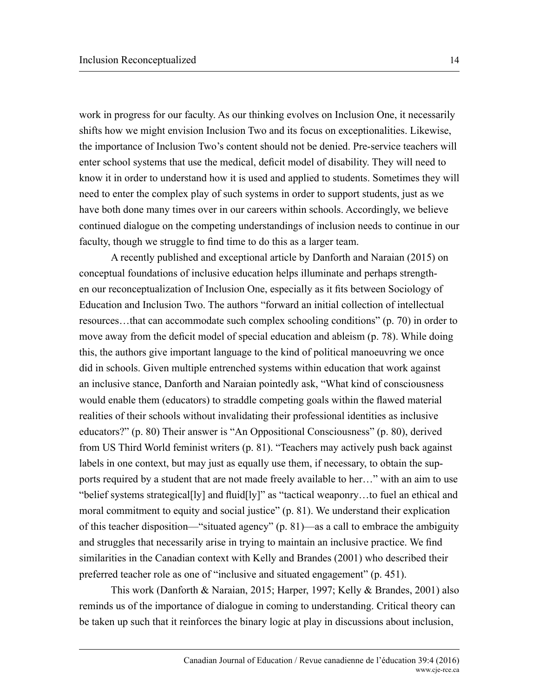work in progress for our faculty. As our thinking evolves on Inclusion One, it necessarily shifts how we might envision Inclusion Two and its focus on exceptionalities. Likewise, the importance of Inclusion Two's content should not be denied. Pre-service teachers will enter school systems that use the medical, deficit model of disability. They will need to know it in order to understand how it is used and applied to students. Sometimes they will need to enter the complex play of such systems in order to support students, just as we have both done many times over in our careers within schools. Accordingly, we believe continued dialogue on the competing understandings of inclusion needs to continue in our faculty, though we struggle to find time to do this as a larger team.

A recently published and exceptional article by Danforth and Naraian (2015) on conceptual foundations of inclusive education helps illuminate and perhaps strengthen our reconceptualization of Inclusion One, especially as it fits between Sociology of Education and Inclusion Two. The authors "forward an initial collection of intellectual resources…that can accommodate such complex schooling conditions" (p. 70) in order to move away from the deficit model of special education and ableism (p. 78). While doing this, the authors give important language to the kind of political manoeuvring we once did in schools. Given multiple entrenched systems within education that work against an inclusive stance, Danforth and Naraian pointedly ask, "What kind of consciousness would enable them (educators) to straddle competing goals within the flawed material realities of their schools without invalidating their professional identities as inclusive educators?" (p. 80) Their answer is "An Oppositional Consciousness" (p. 80), derived from US Third World feminist writers (p. 81). "Teachers may actively push back against labels in one context, but may just as equally use them, if necessary, to obtain the supports required by a student that are not made freely available to her…" with an aim to use "belief systems strategical[ly] and fluid[ly]" as "tactical weaponry...to fuel an ethical and moral commitment to equity and social justice" (p. 81). We understand their explication of this teacher disposition—"situated agency" (p. 81)—as a call to embrace the ambiguity and struggles that necessarily arise in trying to maintain an inclusive practice. We find similarities in the Canadian context with Kelly and Brandes (2001) who described their preferred teacher role as one of "inclusive and situated engagement" (p. 451).

This work (Danforth & Naraian, 2015; Harper, 1997; Kelly & Brandes, 2001) also reminds us of the importance of dialogue in coming to understanding. Critical theory can be taken up such that it reinforces the binary logic at play in discussions about inclusion,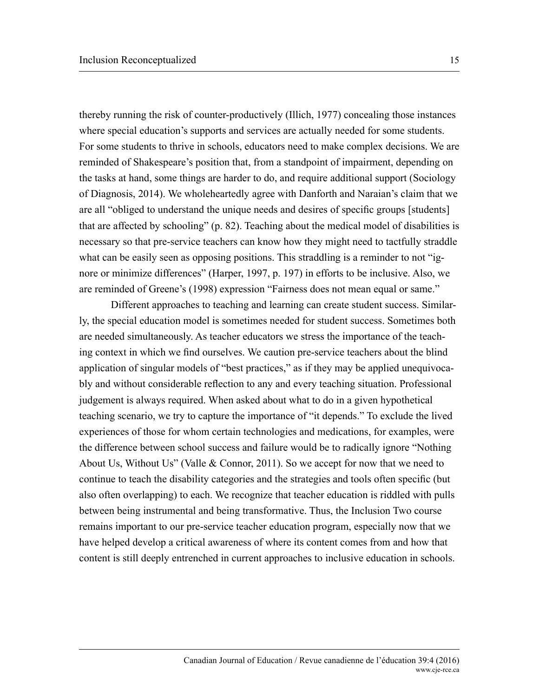thereby running the risk of counter-productively (Illich, 1977) concealing those instances where special education's supports and services are actually needed for some students. For some students to thrive in schools, educators need to make complex decisions. We are reminded of Shakespeare's position that, from a standpoint of impairment, depending on the tasks at hand, some things are harder to do, and require additional support (Sociology of Diagnosis, 2014). We wholeheartedly agree with Danforth and Naraian's claim that we are all "obliged to understand the unique needs and desires of specific groups [students] that are affected by schooling" (p. 82). Teaching about the medical model of disabilities is necessary so that pre-service teachers can know how they might need to tactfully straddle what can be easily seen as opposing positions. This straddling is a reminder to not "ignore or minimize differences" (Harper, 1997, p. 197) in efforts to be inclusive. Also, we are reminded of Greene's (1998) expression "Fairness does not mean equal or same."

Different approaches to teaching and learning can create student success. Similarly, the special education model is sometimes needed for student success. Sometimes both are needed simultaneously. As teacher educators we stress the importance of the teaching context in which we find ourselves. We caution pre-service teachers about the blind application of singular models of "best practices," as if they may be applied unequivocably and without considerable reflection to any and every teaching situation. Professional judgement is always required. When asked about what to do in a given hypothetical teaching scenario, we try to capture the importance of "it depends." To exclude the lived experiences of those for whom certain technologies and medications, for examples, were the difference between school success and failure would be to radically ignore "Nothing About Us, Without Us" (Valle & Connor, 2011). So we accept for now that we need to continue to teach the disability categories and the strategies and tools often specific (but also often overlapping) to each. We recognize that teacher education is riddled with pulls between being instrumental and being transformative. Thus, the Inclusion Two course remains important to our pre-service teacher education program, especially now that we have helped develop a critical awareness of where its content comes from and how that content is still deeply entrenched in current approaches to inclusive education in schools.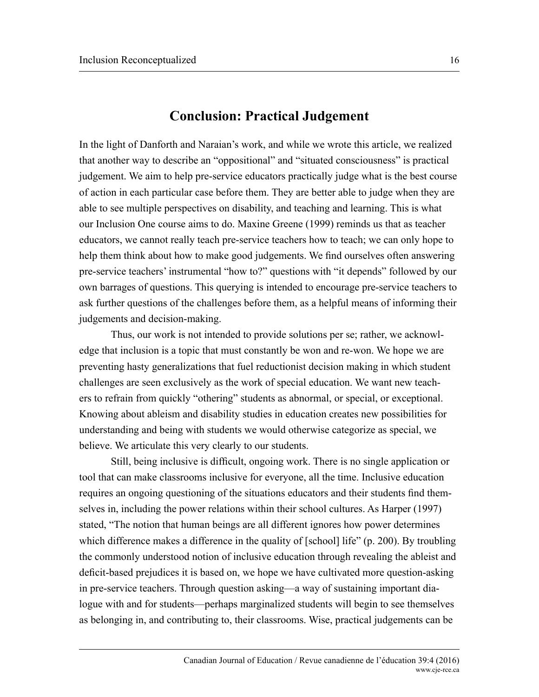#### **Conclusion: Practical Judgement**

In the light of Danforth and Naraian's work, and while we wrote this article, we realized that another way to describe an "oppositional" and "situated consciousness" is practical judgement. We aim to help pre-service educators practically judge what is the best course of action in each particular case before them. They are better able to judge when they are able to see multiple perspectives on disability, and teaching and learning. This is what our Inclusion One course aims to do. Maxine Greene (1999) reminds us that as teacher educators, we cannot really teach pre-service teachers how to teach; we can only hope to help them think about how to make good judgements. We find ourselves often answering pre-service teachers' instrumental "how to?" questions with "it depends" followed by our own barrages of questions. This querying is intended to encourage pre-service teachers to ask further questions of the challenges before them, as a helpful means of informing their judgements and decision-making.

Thus, our work is not intended to provide solutions per se; rather, we acknowledge that inclusion is a topic that must constantly be won and re-won. We hope we are preventing hasty generalizations that fuel reductionist decision making in which student challenges are seen exclusively as the work of special education. We want new teachers to refrain from quickly "othering" students as abnormal, or special, or exceptional. Knowing about ableism and disability studies in education creates new possibilities for understanding and being with students we would otherwise categorize as special, we believe. We articulate this very clearly to our students.

Still, being inclusive is difficult, ongoing work. There is no single application or tool that can make classrooms inclusive for everyone, all the time. Inclusive education requires an ongoing questioning of the situations educators and their students find themselves in, including the power relations within their school cultures. As Harper (1997) stated, "The notion that human beings are all different ignores how power determines which difference makes a difference in the quality of [school] life" (p. 200). By troubling the commonly understood notion of inclusive education through revealing the ableist and deficit-based prejudices it is based on, we hope we have cultivated more question-asking in pre-service teachers. Through question asking—a way of sustaining important dialogue with and for students—perhaps marginalized students will begin to see themselves as belonging in, and contributing to, their classrooms. Wise, practical judgements can be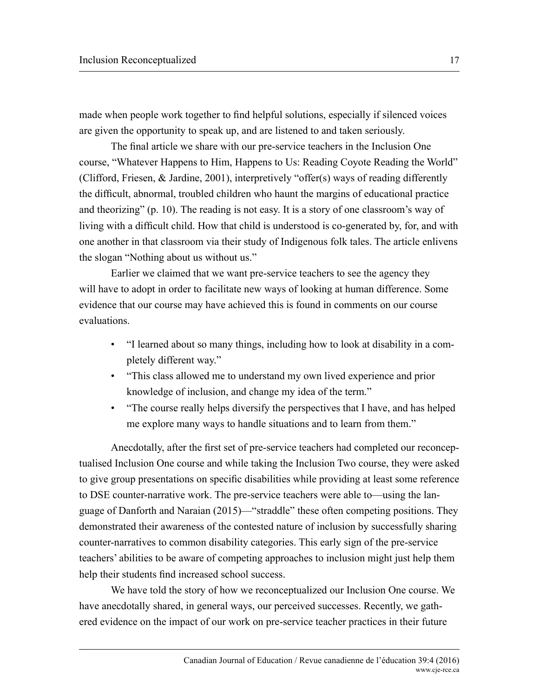made when people work together to find helpful solutions, especially if silenced voices are given the opportunity to speak up, and are listened to and taken seriously.

The final article we share with our pre-service teachers in the Inclusion One course, "Whatever Happens to Him, Happens to Us: Reading Coyote Reading the World" (Clifford, Friesen, & Jardine, 2001), interpretively "offer(s) ways of reading differently the difficult, abnormal, troubled children who haunt the margins of educational practice and theorizing" (p. 10). The reading is not easy. It is a story of one classroom's way of living with a difficult child. How that child is understood is co-generated by, for, and with one another in that classroom via their study of Indigenous folk tales. The article enlivens the slogan "Nothing about us without us."

Earlier we claimed that we want pre-service teachers to see the agency they will have to adopt in order to facilitate new ways of looking at human difference. Some evidence that our course may have achieved this is found in comments on our course evaluations.

- "I learned about so many things, including how to look at disability in a completely different way."
- "This class allowed me to understand my own lived experience and prior knowledge of inclusion, and change my idea of the term."
- "The course really helps diversify the perspectives that I have, and has helped me explore many ways to handle situations and to learn from them."

Anecdotally, after the first set of pre-service teachers had completed our reconceptualised Inclusion One course and while taking the Inclusion Two course, they were asked to give group presentations on specific disabilities while providing at least some reference to DSE counter-narrative work. The pre-service teachers were able to—using the language of Danforth and Naraian (2015)—"straddle" these often competing positions. They demonstrated their awareness of the contested nature of inclusion by successfully sharing counter-narratives to common disability categories. This early sign of the pre-service teachers' abilities to be aware of competing approaches to inclusion might just help them help their students find increased school success.

We have told the story of how we reconceptualized our Inclusion One course. We have anecdotally shared, in general ways, our perceived successes. Recently, we gathered evidence on the impact of our work on pre-service teacher practices in their future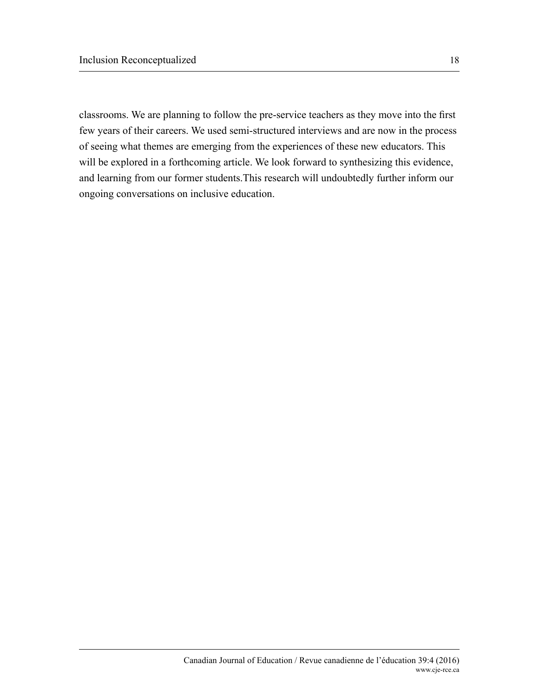classrooms. We are planning to follow the pre-service teachers as they move into the first few years of their careers. We used semi-structured interviews and are now in the process of seeing what themes are emerging from the experiences of these new educators. This will be explored in a forthcoming article. We look forward to synthesizing this evidence, and learning from our former students.This research will undoubtedly further inform our ongoing conversations on inclusive education.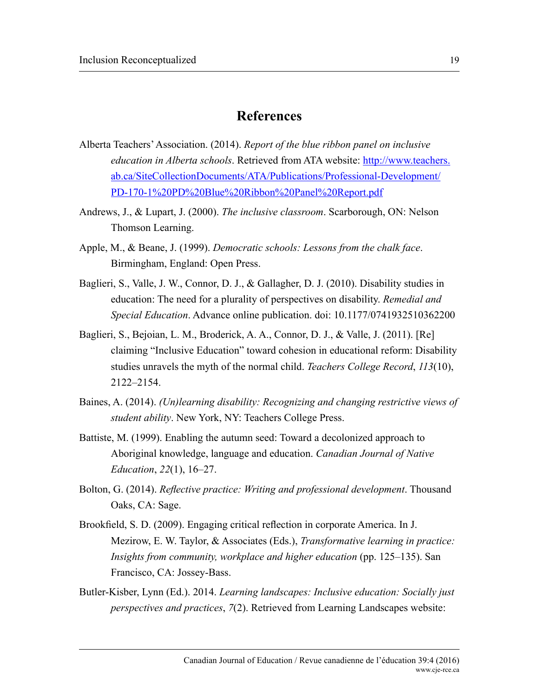#### **References**

- Alberta Teachers' Association. (2014). *Report of the blue ribbon panel on inclusive education in Alberta schools*. Retrieved from ATA website: [http://www.teachers.](http://www.teachers.ab.ca/SiteCollectionDocuments/ATA/Publications/Professional-Development/PD-170-1%2520PD%2520Blue%2520Ribbon%2520Panel%2520Report.pdf) [ab.ca/SiteCollectionDocuments/ATA/Publications/Professional-Development/](http://www.teachers.ab.ca/SiteCollectionDocuments/ATA/Publications/Professional-Development/PD-170-1%2520PD%2520Blue%2520Ribbon%2520Panel%2520Report.pdf) [PD-170-1%20PD%20Blue%20Ribbon%20Panel%20Report.pdf](http://www.teachers.ab.ca/SiteCollectionDocuments/ATA/Publications/Professional-Development/PD-170-1%2520PD%2520Blue%2520Ribbon%2520Panel%2520Report.pdf)
- Andrews, J., & Lupart, J. (2000). *The inclusive classroom*. Scarborough, ON: Nelson Thomson Learning.
- Apple, M., & Beane, J. (1999). *Democratic schools: Lessons from the chalk face*. Birmingham, England: Open Press.
- Baglieri, S., Valle, J. W., Connor, D. J., & Gallagher, D. J. (2010). Disability studies in education: The need for a plurality of perspectives on disability. *Remedial and Special Education*. Advance online publication. doi: 10.1177/0741932510362200
- Baglieri, S., Bejoian, L. M., Broderick, A. A., Connor, D. J., & Valle, J. (2011). [Re] claiming "Inclusive Education" toward cohesion in educational reform: Disability studies unravels the myth of the normal child. *Teachers College Record*, *113*(10), 2122–2154.
- Baines, A. (2014). *(Un)learning disability: Recognizing and changing restrictive views of student ability*. New York, NY: Teachers College Press.
- Battiste, M. (1999). Enabling the autumn seed: Toward a decolonized approach to Aboriginal knowledge, language and education. *Canadian Journal of Native Education*, *22*(1), 16–27.
- Bolton, G. (2014). *Reflective practice: Writing and professional development*. Thousand Oaks, CA: Sage.
- Brookfield, S. D. (2009). Engaging critical reflection in corporate America. In J. Mezirow, E. W. Taylor, & Associates (Eds.), *Transformative learning in practice: Insights from community, workplace and higher education* (pp. 125–135). San Francisco, CA: Jossey-Bass.
- Butler-Kisber, Lynn (Ed.). 2014. *Learning landscapes: Inclusive education: Socially just perspectives and practices*, *7*(2). Retrieved from Learning Landscapes website: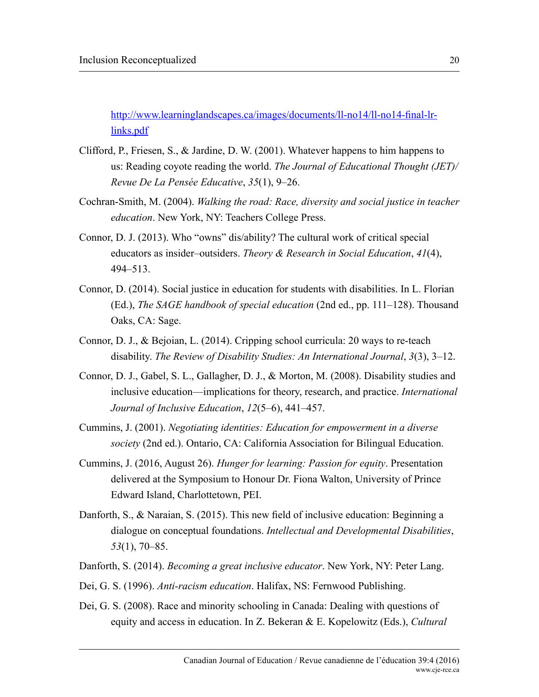[http://www.learninglandscapes.ca/images/documents/ll-no14/ll-no14-final-lr](http://www.learninglandscapes.ca/images/documents/ll-no14/ll-no14-final-lr-links.pdf)[links.pdf](http://www.learninglandscapes.ca/images/documents/ll-no14/ll-no14-final-lr-links.pdf)

- Clifford, P., Friesen, S., & Jardine, D. W. (2001). Whatever happens to him happens to us: Reading coyote reading the world. *The Journal of Educational Thought (JET)/ Revue De La Pensée Educative*, *35*(1), 9–26.
- Cochran-Smith, M. (2004). *Walking the road: Race, diversity and social justice in teacher education*. New York, NY: Teachers College Press.
- Connor, D. J. (2013). Who "owns" dis/ability? The cultural work of critical special educators as insider–outsiders. *Theory & Research in Social Education*, *41*(4), 494–513.
- Connor, D. (2014). Social justice in education for students with disabilities. In L. Florian (Ed.), *The SAGE handbook of special education* (2nd ed., pp. 111–128). Thousand Oaks, CA: Sage.
- Connor, D. J., & Bejoian, L. (2014). Cripping school curricula: 20 ways to re-teach disability. *The Review of Disability Studies: An International Journal*, *3*(3), 3–12.
- Connor, D. J., Gabel, S. L., Gallagher, D. J., & Morton, M. (2008). Disability studies and inclusive education—implications for theory, research, and practice. *International Journal of Inclusive Education*, *12*(5–6), 441–457.
- Cummins, J. (2001). *Negotiating identities: Education for empowerment in a diverse society* (2nd ed.). Ontario, CA: California Association for Bilingual Education.
- Cummins, J. (2016, August 26). *Hunger for learning: Passion for equity*. Presentation delivered at the Symposium to Honour Dr. Fiona Walton, University of Prince Edward Island, Charlottetown, PEI.
- Danforth, S., & Naraian, S. (2015). This new field of inclusive education: Beginning a dialogue on conceptual foundations. *Intellectual and Developmental Disabilities*, *53*(1), 70–85.
- Danforth, S. (2014). *Becoming a great inclusive educator*. New York, NY: Peter Lang.
- Dei, G. S. (1996). *Anti-racism education*. Halifax, NS: Fernwood Publishing.
- Dei, G. S. (2008). Race and minority schooling in Canada: Dealing with questions of equity and access in education. In Z. Bekeran & E. Kopelowitz (Eds.), *Cultural*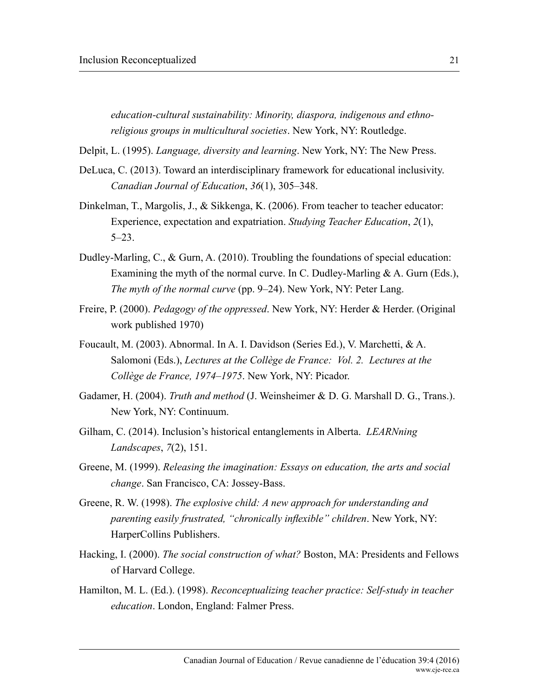*education-cultural sustainability: Minority, diaspora, indigenous and ethnoreligious groups in multicultural societies*. New York, NY: Routledge.

Delpit, L. (1995). *Language, diversity and learning*. New York, NY: The New Press.

- DeLuca, C. (2013). Toward an interdisciplinary framework for educational inclusivity. *Canadian Journal of Education*, *36*(1), 305–348.
- Dinkelman, T., Margolis, J., & Sikkenga, K. (2006). From teacher to teacher educator: Experience, expectation and expatriation. *Studying Teacher Education*, *2*(1), 5–23.
- Dudley-Marling, C., & Gurn, A. (2010). Troubling the foundations of special education: Examining the myth of the normal curve. In C. Dudley-Marling & A. Gurn (Eds.), *The myth of the normal curve* (pp. 9–24). New York, NY: Peter Lang.
- Freire, P. (2000). *Pedagogy of the oppressed*. New York, NY: Herder & Herder. (Original work published 1970)
- Foucault, M. (2003). Abnormal. In A. I. Davidson (Series Ed.), V. Marchetti, & A. Salomoni (Eds.), *Lectures at the Collège de France: Vol. 2. Lectures at the Collège de France, 1974–1975*. New York, NY: Picador.
- Gadamer, H. (2004). *Truth and method* (J. Weinsheimer & D. G. Marshall D. G., Trans.). New York, NY: Continuum.
- Gilham, C. (2014). Inclusion's historical entanglements in Alberta. *LEARNning Landscapes*, *7*(2), 151.
- Greene, M. (1999). *Releasing the imagination: Essays on education, the arts and social change*. San Francisco, CA: Jossey-Bass.
- Greene, R. W. (1998). *The explosive child: A new approach for understanding and parenting easily frustrated, "chronically inflexible" children*. New York, NY: HarperCollins Publishers.
- Hacking, I. (2000). *The social construction of what?* Boston, MA: Presidents and Fellows of Harvard College.
- Hamilton, M. L. (Ed.). (1998). *Reconceptualizing teacher practice: Self-study in teacher education*. London, England: Falmer Press.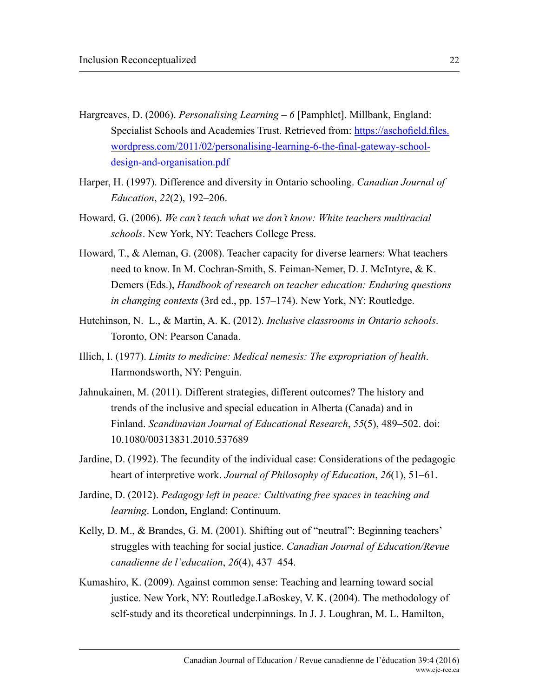- Hargreaves, D. (2006). *Personalising Learning 6* [Pamphlet]. Millbank, England: Specialist Schools and Academies Trust. Retrieved from: [https://aschofield.files.](https://aschofield.files.wordpress.com/2011/02/personalising-learning-6-the-final-gateway-school-design-and-organisation.pdf) [wordpress.com/2011/02/personalising-learning-6-the-final-gateway-school](https://aschofield.files.wordpress.com/2011/02/personalising-learning-6-the-final-gateway-school-design-and-organisation.pdf)[design-and-organisation.pdf](https://aschofield.files.wordpress.com/2011/02/personalising-learning-6-the-final-gateway-school-design-and-organisation.pdf)
- Harper, H. (1997). Difference and diversity in Ontario schooling. *Canadian Journal of Education*, *22*(2), 192–206.
- Howard, G. (2006). *We can't teach what we don't know: White teachers multiracial schools*. New York, NY: Teachers College Press.
- Howard, T., & Aleman, G. (2008). Teacher capacity for diverse learners: What teachers need to know. In M. Cochran-Smith, S. Feiman-Nemer, D. J. McIntyre, & K. Demers (Eds.), *Handbook of research on teacher education: Enduring questions in changing contexts* (3rd ed., pp. 157–174). New York, NY: Routledge.
- Hutchinson, N. L., & Martin, A. K. (2012). *Inclusive classrooms in Ontario schools*. Toronto, ON: Pearson Canada.
- Illich, I. (1977). *Limits to medicine: Medical nemesis: The expropriation of health*. Harmondsworth, NY: Penguin.
- Jahnukainen, M. (2011). Different strategies, different outcomes? The history and trends of the inclusive and special education in Alberta (Canada) and in Finland. *Scandinavian Journal of Educational Research*, *55*(5), 489–502. doi: 10.1080/00313831.2010.537689
- Jardine, D. (1992). The fecundity of the individual case: Considerations of the pedagogic heart of interpretive work. *Journal of Philosophy of Education*, *26*(1), 51–61.
- Jardine, D. (2012). *Pedagogy left in peace: Cultivating free spaces in teaching and learning*. London, England: Continuum.
- Kelly, D. M., & Brandes, G. M. (2001). Shifting out of "neutral": Beginning teachers' struggles with teaching for social justice. *Canadian Journal of Education/Revue canadienne de l'education*, *26*(4), 437–454.
- Kumashiro, K. (2009). Against common sense: Teaching and learning toward social justice. New York, NY: Routledge.LaBoskey, V. K. (2004). The methodology of self-study and its theoretical underpinnings. In J. J. Loughran, M. L. Hamilton,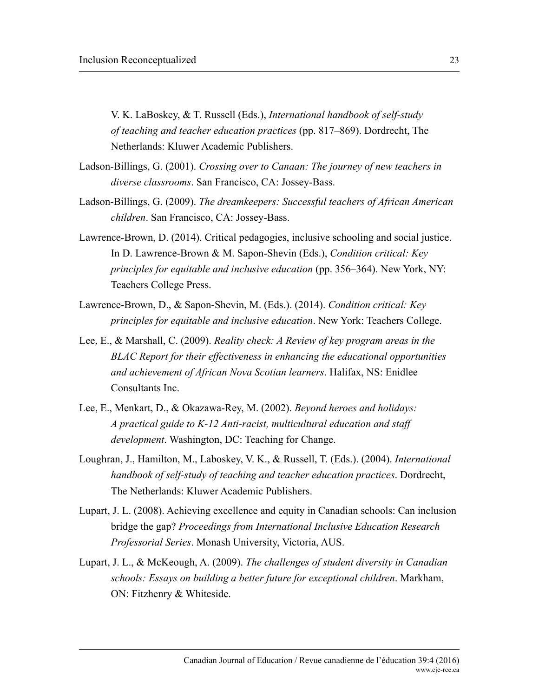V. K. LaBoskey, & T. Russell (Eds.), *International handbook of self-study of teaching and teacher education practices* (pp. 817–869). Dordrecht, The Netherlands: Kluwer Academic Publishers.

- Ladson-Billings, G. (2001). *Crossing over to Canaan: The journey of new teachers in diverse classrooms*. San Francisco, CA: Jossey-Bass.
- Ladson-Billings, G. (2009). *The dreamkeepers: Successful teachers of African American children*. San Francisco, CA: Jossey-Bass.
- Lawrence-Brown, D. (2014). Critical pedagogies, inclusive schooling and social justice. In D. Lawrence-Brown & M. Sapon-Shevin (Eds.), *Condition critical: Key principles for equitable and inclusive education* (pp. 356–364). New York, NY: Teachers College Press.
- Lawrence-Brown, D., & Sapon-Shevin, M. (Eds.). (2014). *Condition critical: Key principles for equitable and inclusive education*. New York: Teachers College.
- Lee, E., & Marshall, C. (2009). *Reality check: A Review of key program areas in the BLAC Report for their effectiveness in enhancing the educational opportunities and achievement of African Nova Scotian learners*. Halifax, NS: Enidlee Consultants Inc.
- Lee, E., Menkart, D., & Okazawa-Rey, M. (2002). *Beyond heroes and holidays: A practical guide to K-12 Anti-racist, multicultural education and staff development*. Washington, DC: Teaching for Change.
- Loughran, J., Hamilton, M., Laboskey, V. K., & Russell, T. (Eds.). (2004). *International handbook of self-study of teaching and teacher education practices*. Dordrecht, The Netherlands: Kluwer Academic Publishers.
- Lupart, J. L. (2008). Achieving excellence and equity in Canadian schools: Can inclusion bridge the gap? *Proceedings from International Inclusive Education Research Professorial Series*. Monash University, Victoria, AUS.
- Lupart, J. L., & McKeough, A. (2009). *The challenges of student diversity in Canadian schools: Essays on building a better future for exceptional children*. Markham, ON: Fitzhenry & Whiteside.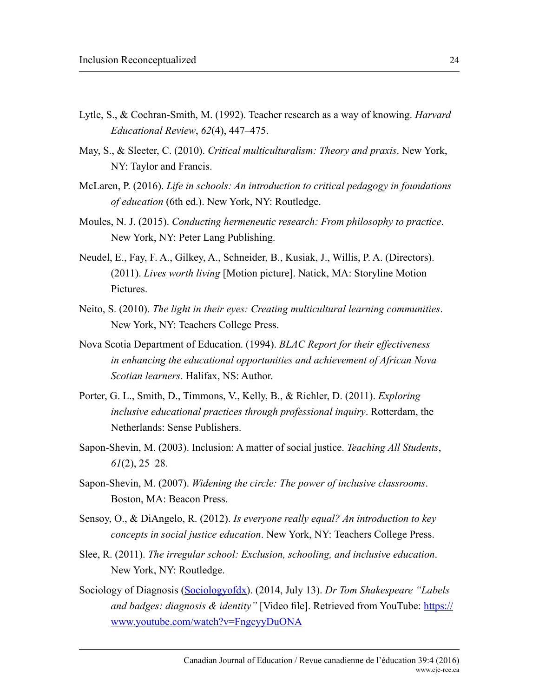- Lytle, S., & Cochran-Smith, M. (1992). Teacher research as a way of knowing. *Harvard Educational Review*, *62*(4), 447–475.
- May, S., & Sleeter, C. (2010). *Critical multiculturalism: Theory and praxis*. New York, NY: Taylor and Francis.
- McLaren, P. (2016). *Life in schools: An introduction to critical pedagogy in foundations of education* (6th ed.). New York, NY: Routledge.
- Moules, N. J. (2015). *Conducting hermeneutic research: From philosophy to practice*. New York, NY: Peter Lang Publishing.
- Neudel, E., Fay, F. A., Gilkey, A., Schneider, B., Kusiak, J., Willis, P. A. (Directors). (2011). *Lives worth living* [Motion picture]. Natick, MA: Storyline Motion Pictures.
- Neito, S. (2010). *The light in their eyes: Creating multicultural learning communities*. New York, NY: Teachers College Press.
- Nova Scotia Department of Education. (1994). *BLAC Report for their effectiveness in enhancing the educational opportunities and achievement of African Nova Scotian learners*. Halifax, NS: Author.
- Porter, G. L., Smith, D., Timmons, V., Kelly, B., & Richler, D. (2011). *Exploring inclusive educational practices through professional inquiry*. Rotterdam, the Netherlands: Sense Publishers.
- Sapon-Shevin, M. (2003). Inclusion: A matter of social justice. *Teaching All Students*, *61*(2), 25–28.
- Sapon-Shevin, M. (2007). *Widening the circle: The power of inclusive classrooms*. Boston, MA: Beacon Press.
- Sensoy, O., & DiAngelo, R. (2012). *Is everyone really equal? An introduction to key concepts in social justice education*. New York, NY: Teachers College Press.
- Slee, R. (2011). *The irregular school: Exclusion, schooling, and inclusive education*. New York, NY: Routledge.
- Sociology of Diagnosis ([Sociologyofdx](https://www.youtube.com/channel/UCSbkbRRqV-G1WcKqyC-q3vw)). (2014, July 13). *Dr Tom Shakespeare "Labels and badges: diagnosis & identity"* [Video file]. Retrieved from YouTube: [https://](https://www.youtube.com/watch%3Fv%3DFngcyyDuONA) [www.youtube.com/watch?v=FngcyyDuONA](https://www.youtube.com/watch%3Fv%3DFngcyyDuONA)